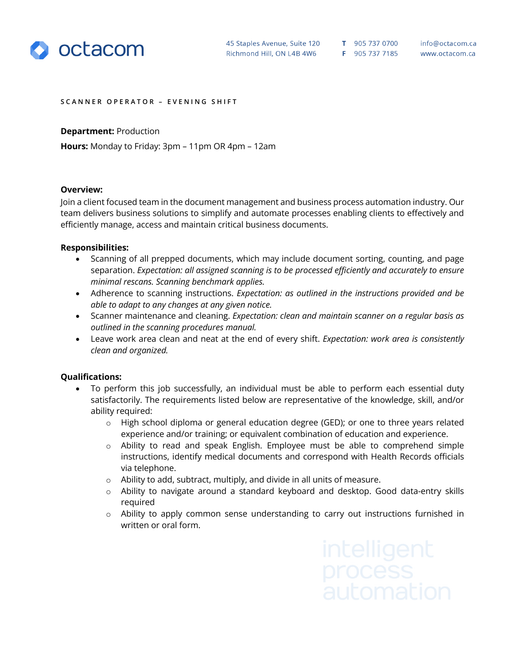

## **SCANNER OPERATOR – EVENING SHIFT**

**Department:** Production

**Hours:** Monday to Friday: 3pm – 11pm OR 4pm – 12am

## **Overview:**

Join a client focused team in the document management and business process automation industry. Our team delivers business solutions to simplify and automate processes enabling clients to effectively and efficiently manage, access and maintain critical business documents.

## **Responsibilities:**

- Scanning of all prepped documents, which may include document sorting, counting, and page separation. *Expectation: all assigned scanning is to be processed efficiently and accurately to ensure minimal rescans. Scanning benchmark applies.*
- Adherence to scanning instructions. *Expectation: as outlined in the instructions provided and be able to adapt to any changes at any given notice.*
- Scanner maintenance and cleaning. *Expectation: clean and maintain scanner on a regular basis as outlined in the scanning procedures manual.*
- Leave work area clean and neat at the end of every shift. *Expectation: work area is consistently clean and organized.*

## **Qualifications:**

- To perform this job successfully, an individual must be able to perform each essential duty satisfactorily. The requirements listed below are representative of the knowledge, skill, and/or ability required:
	- o High school diploma or general education degree (GED); or one to three years related experience and/or training; or equivalent combination of education and experience.
	- o Ability to read and speak English. Employee must be able to comprehend simple instructions, identify medical documents and correspond with Health Records officials via telephone.
	- o Ability to add, subtract, multiply, and divide in all units of measure.
	- o Ability to navigate around a standard keyboard and desktop. Good data-entry skills required
	- o Ability to apply common sense understanding to carry out instructions furnished in written or oral form.